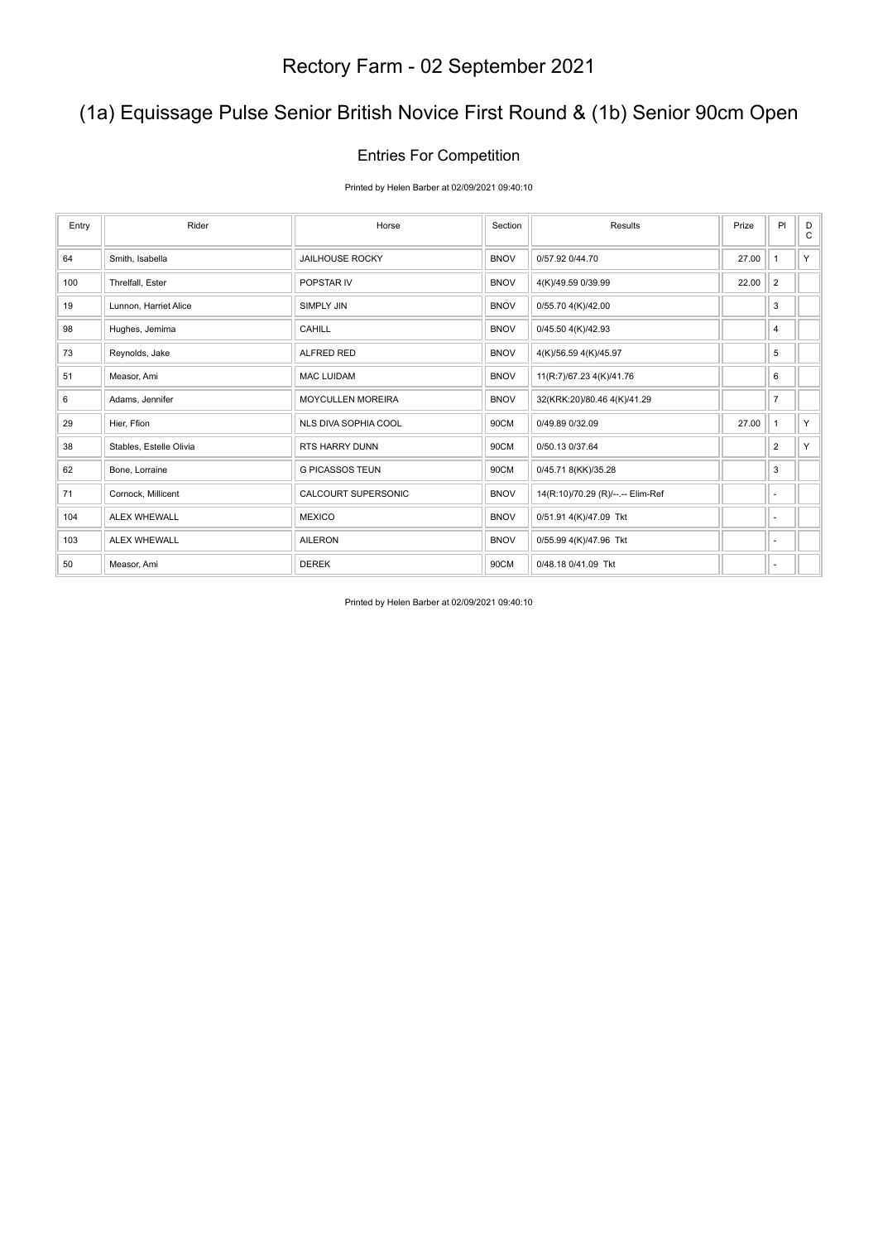## (1a) Equissage Pulse Senior British Novice First Round & (1b) Senior 90cm Open

### Entries For Competition

Printed by Helen Barber at 02/09/2021 09:40:10

| Entry | Rider                   | Horse                       | Section     | Results                           | Prize | PI             | D<br>C |
|-------|-------------------------|-----------------------------|-------------|-----------------------------------|-------|----------------|--------|
| 64    | Smith, Isabella         | <b>JAILHOUSE ROCKY</b>      | <b>BNOV</b> | 0/57.92 0/44.70                   | 27.00 | $\mathbf{1}$   | Y.     |
| 100   | Threlfall, Ester        | POPSTAR IV                  | <b>BNOV</b> | 4(K)/49.59 0/39.99                | 22.00 | $\overline{2}$ |        |
| 19    | Lunnon, Harriet Alice   | <b>SIMPLY JIN</b>           | <b>BNOV</b> | 0/55.70 4(K)/42.00                |       | 3              |        |
| 98    | Hughes, Jemima          | <b>CAHILL</b>               | <b>BNOV</b> | 0/45.50 4(K)/42.93                |       | $\overline{4}$ |        |
| 73    | Reynolds, Jake          | <b>ALFRED RED</b>           | <b>BNOV</b> | 4(K)/56.59 4(K)/45.97             |       | 5              |        |
| 51    | Measor, Ami             | <b>MAC LUIDAM</b>           | <b>BNOV</b> | 11(R:7)/67.23 4(K)/41.76          |       | 6              |        |
| 6     | Adams, Jennifer         | <b>MOYCULLEN MOREIRA</b>    | <b>BNOV</b> | 32(KRK:20)/80.46 4(K)/41.29       |       | $\overline{7}$ |        |
| 29    | Hier, Ffion             | <b>NLS DIVA SOPHIA COOL</b> | 90CM        | 0/49.89 0/32.09                   | 27.00 | $\mathbf{1}$   | Y.     |
| 38    | Stables, Estelle Olivia | <b>RTS HARRY DUNN</b>       | 90CM        | 0/50.13 0/37.64                   |       | $\overline{2}$ | Y      |
| 62    | Bone, Lorraine          | <b>G PICASSOS TEUN</b>      | 90CM        | 0/45.71 8(KK)/35.28               |       | 3              |        |
| 71    | Cornock, Millicent      | CALCOURT SUPERSONIC         | <b>BNOV</b> | 14(R:10)/70.29 (R)/--.-- Elim-Ref |       | ٠              |        |
| 104   | <b>ALEX WHEWALL</b>     | <b>MEXICO</b>               | <b>BNOV</b> | 0/51.91 4(K)/47.09 Tkt            |       | ٠              |        |
| 103   | <b>ALEX WHEWALL</b>     | <b>AILERON</b>              | <b>BNOV</b> | 0/55.99 4(K)/47.96 Tkt            |       | ٠              |        |
| 50    | Measor, Ami             | <b>DEREK</b>                | 90CM        | 0/48.18 0/41.09 Tkt               |       | ٠              |        |

Printed by Helen Barber at 02/09/2021 09:40:10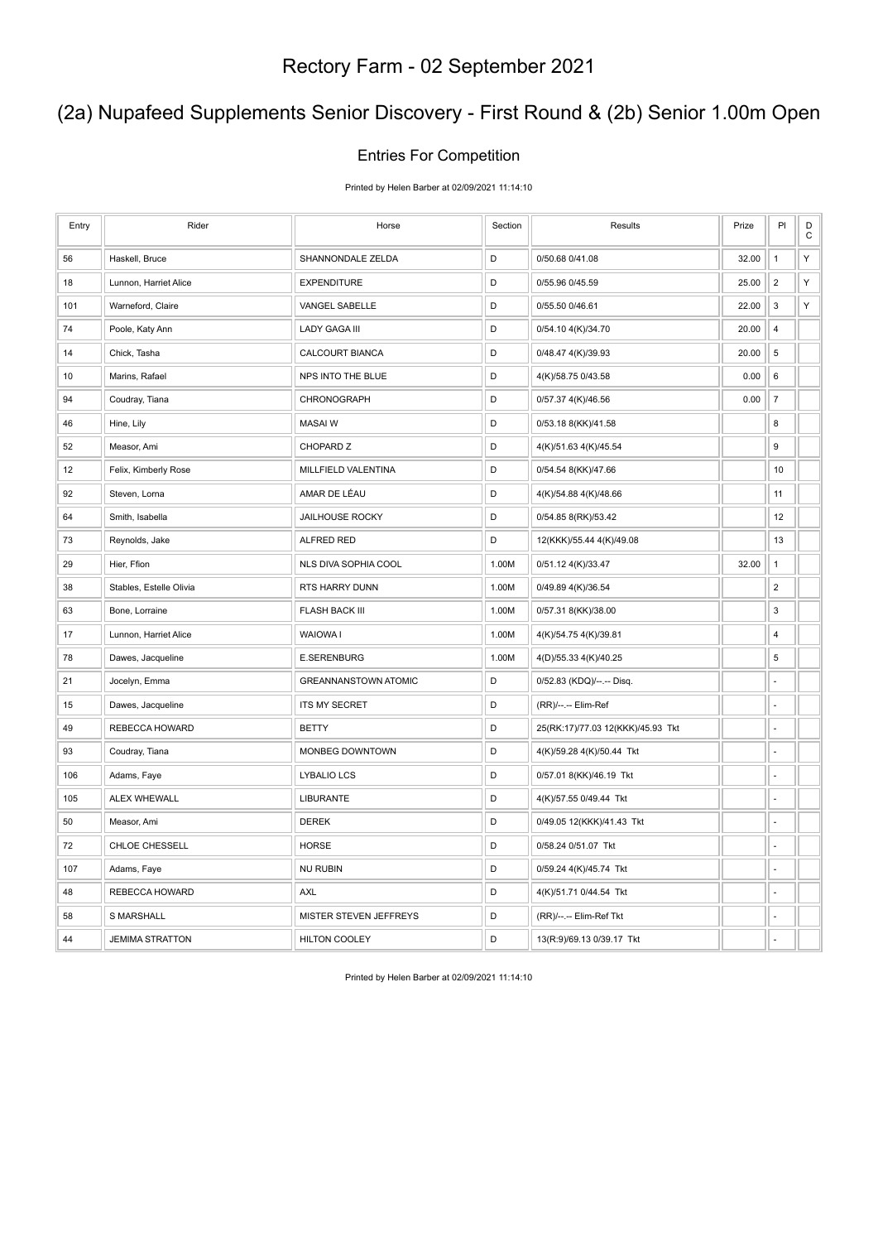## (2a) Nupafeed Supplements Senior Discovery - First Round & (2b) Senior 1.00m Open

### Entries For Competition

Printed by Helen Barber at 02/09/2021 11:14:10

| Entry | Rider                   | Horse                       | Section     | Results                           | Prize | PI                      | $\mathsf D$<br>$\mathsf C$ |
|-------|-------------------------|-----------------------------|-------------|-----------------------------------|-------|-------------------------|----------------------------|
| 56    | Haskell, Bruce          | SHANNONDALE ZELDA           | D           | 0/50.68 0/41.08                   | 32.00 | $\mathbf{1}$            | Υ                          |
| 18    | Lunnon, Harriet Alice   | <b>EXPENDITURE</b>          | $\mathsf D$ | 0/55.96 0/45.59                   | 25.00 | $\overline{2}$          | Υ                          |
| 101   | Warneford, Claire       | VANGEL SABELLE              | D           | 0/55.50 0/46.61                   | 22.00 | 3                       | Υ                          |
| 74    | Poole, Katy Ann         | <b>LADY GAGA III</b>        | D           | 0/54.10 4(K)/34.70                | 20.00 | 4                       |                            |
| 14    | Chick, Tasha            | CALCOURT BIANCA             | $\mathsf D$ | 0/48.47 4(K)/39.93                | 20.00 | $\,$ 5 $\,$             |                            |
| 10    | Marins, Rafael          | NPS INTO THE BLUE           | D           | 4(K)/58.75 0/43.58                | 0.00  | 6                       |                            |
| 94    | Coudray, Tiana          | CHRONOGRAPH                 | D           | 0/57.37 4(K)/46.56                | 0.00  | $\overline{7}$          |                            |
| 46    | Hine, Lily              | <b>MASAIW</b>               | D           | 0/53.18 8(KK)/41.58               |       | 8                       |                            |
| 52    | Measor, Ami             | CHOPARD Z                   | D           | 4(K)/51.63 4(K)/45.54             |       | 9                       |                            |
| 12    | Felix, Kimberly Rose    | MILLFIELD VALENTINA         | $\mathsf D$ | 0/54.54 8(KK)/47.66               |       | 10                      |                            |
| 92    | Steven, Lorna           | AMAR DE LÉAU                | D           | 4(K)/54.88 4(K)/48.66             |       | 11                      |                            |
| 64    | Smith, Isabella         | <b>JAILHOUSE ROCKY</b>      | D           | 0/54.85 8(RK)/53.42               |       | 12                      |                            |
| 73    | Reynolds, Jake          | <b>ALFRED RED</b>           | D           | 12(KKK)/55.44 4(K)/49.08          |       | 13                      |                            |
| 29    | Hier, Ffion             | NLS DIVA SOPHIA COOL        | 1.00M       | 0/51.12 4(K)/33.47                | 32.00 | $\mathbf{1}$            |                            |
| 38    | Stables, Estelle Olivia | RTS HARRY DUNN              | 1.00M       | 0/49.89 4(K)/36.54                |       | $\overline{\mathbf{c}}$ |                            |
| 63    | Bone, Lorraine          | <b>FLASH BACK III</b>       | 1.00M       | 0/57.31 8(KK)/38.00               |       | 3                       |                            |
| 17    | Lunnon, Harriet Alice   | WAIOWA I                    | 1.00M       | 4(K)/54.75 4(K)/39.81             |       | 4                       |                            |
| 78    | Dawes, Jacqueline       | <b>E.SERENBURG</b>          | 1.00M       | 4(D)/55.33 4(K)/40.25             |       | 5                       |                            |
| 21    | Jocelyn, Emma           | <b>GREANNANSTOWN ATOMIC</b> | D           | 0/52.83 (KDQ)/--.-- Disq.         |       | ä,                      |                            |
| 15    | Dawes, Jacqueline       | <b>ITS MY SECRET</b>        | D           | (RR)/--.-- Elim-Ref               |       | ÷,                      |                            |
| 49    | REBECCA HOWARD          | <b>BETTY</b>                | D           | 25(RK:17)/77.03 12(KKK)/45.93 Tkt |       | L,                      |                            |
| 93    | Coudray, Tiana          | MONBEG DOWNTOWN             | $\mathsf D$ | 4(K)/59.28 4(K)/50.44 Tkt         |       | ÷,                      |                            |
| 106   | Adams, Faye             | <b>LYBALIO LCS</b>          | D           | 0/57.01 8(KK)/46.19 Tkt           |       | ä,                      |                            |
| 105   | <b>ALEX WHEWALL</b>     | <b>LIBURANTE</b>            | D           | 4(K)/57.55 0/49.44 Tkt            |       | ä,                      |                            |
| 50    | Measor, Ami             | <b>DEREK</b>                | D           | 0/49.05 12(KKK)/41.43 Tkt         |       | ä,                      |                            |
| 72    | CHLOE CHESSELL          | <b>HORSE</b>                | D           | 0/58.24 0/51.07 Tkt               |       | ÷,                      |                            |
| 107   | Adams, Faye             | <b>NU RUBIN</b>             | D           | 0/59.24 4(K)/45.74 Tkt            |       | ÷,                      |                            |
| 48    | REBECCA HOWARD          | <b>AXL</b>                  | D           | 4(K)/51.71 0/44.54 Tkt            |       | ÷,                      |                            |
| 58    | <b>S MARSHALL</b>       | MISTER STEVEN JEFFREYS      | D           | (RR)/--.-- Elim-Ref Tkt           |       |                         |                            |
| 44    | <b>JEMIMA STRATTON</b>  | <b>HILTON COOLEY</b>        | D           | 13(R:9)/69.13 0/39.17 Tkt         |       |                         |                            |

Printed by Helen Barber at 02/09/2021 11:14:10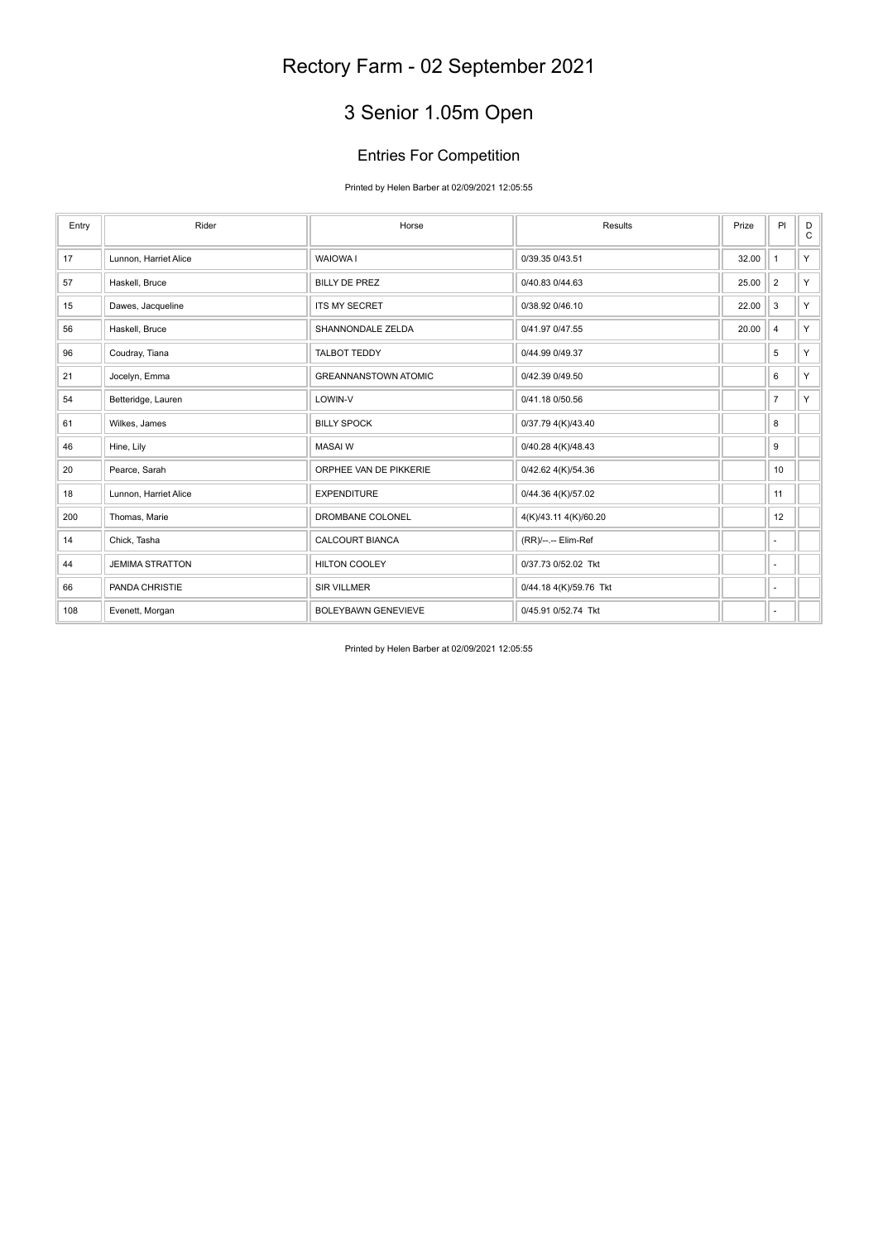# 3 Senior 1.05m Open

### Entries For Competition

Printed by Helen Barber at 02/09/2021 12:05:55

| Entry | Rider                  | Horse                       | Results                | Prize | PI             | D<br>$\mathbf C$ |
|-------|------------------------|-----------------------------|------------------------|-------|----------------|------------------|
| 17    | Lunnon, Harriet Alice  | <b>WAIOWA1</b>              | 0/39.35 0/43.51        | 32.00 | $\mathbf{1}$   | Y.               |
| 57    | Haskell, Bruce         | <b>BILLY DE PREZ</b>        | 0/40.83 0/44.63        | 25.00 | $\overline{2}$ | Y.               |
| 15    | Dawes, Jacqueline      | <b>ITS MY SECRET</b>        | 0/38.92 0/46.10        | 22.00 | 3              | Y.               |
| 56    | Haskell, Bruce         | SHANNONDALE ZELDA           | 0/41.97 0/47.55        | 20.00 | 4              | Y.               |
| 96    | Coudray, Tiana         | <b>TALBOT TEDDY</b>         | 0/44.99 0/49.37        |       | 5              | Y.               |
| 21    | Jocelyn, Emma          | <b>GREANNANSTOWN ATOMIC</b> | 0/42.39 0/49.50        |       | 6              | Y.               |
| 54    | Betteridge, Lauren     | LOWIN-V                     | 0/41.18 0/50.56        |       | $\overline{7}$ | Y.               |
| 61    | Wilkes, James          | <b>BILLY SPOCK</b>          | 0/37.79 4(K)/43.40     |       | 8              |                  |
| 46    | Hine, Lily             | <b>MASAIW</b>               | 0/40.28 4(K)/48.43     |       | 9              |                  |
| 20    | Pearce, Sarah          | ORPHEE VAN DE PIKKERIE      | 0/42.62 4(K)/54.36     |       | 10             |                  |
| 18    | Lunnon, Harriet Alice  | <b>EXPENDITURE</b>          | 0/44.36 4(K)/57.02     |       | 11             |                  |
| 200   | Thomas, Marie          | DROMBANE COLONEL            | 4(K)/43.11 4(K)/60.20  |       | 12             |                  |
| 14    | Chick, Tasha           | <b>CALCOURT BIANCA</b>      | (RR)/--.-- Elim-Ref    |       | ٠              |                  |
| 44    | <b>JEMIMA STRATTON</b> | <b>HILTON COOLEY</b>        | 0/37.73 0/52.02 Tkt    |       | ٠              |                  |
| 66    | PANDA CHRISTIE         | <b>SIR VILLMER</b>          | 0/44.18 4(K)/59.76 Tkt |       | ٠              |                  |
| 108   | Evenett, Morgan        | <b>BOLEYBAWN GENEVIEVE</b>  | 0/45.91 0/52.74 Tkt    |       | ٠              |                  |

Printed by Helen Barber at 02/09/2021 12:05:55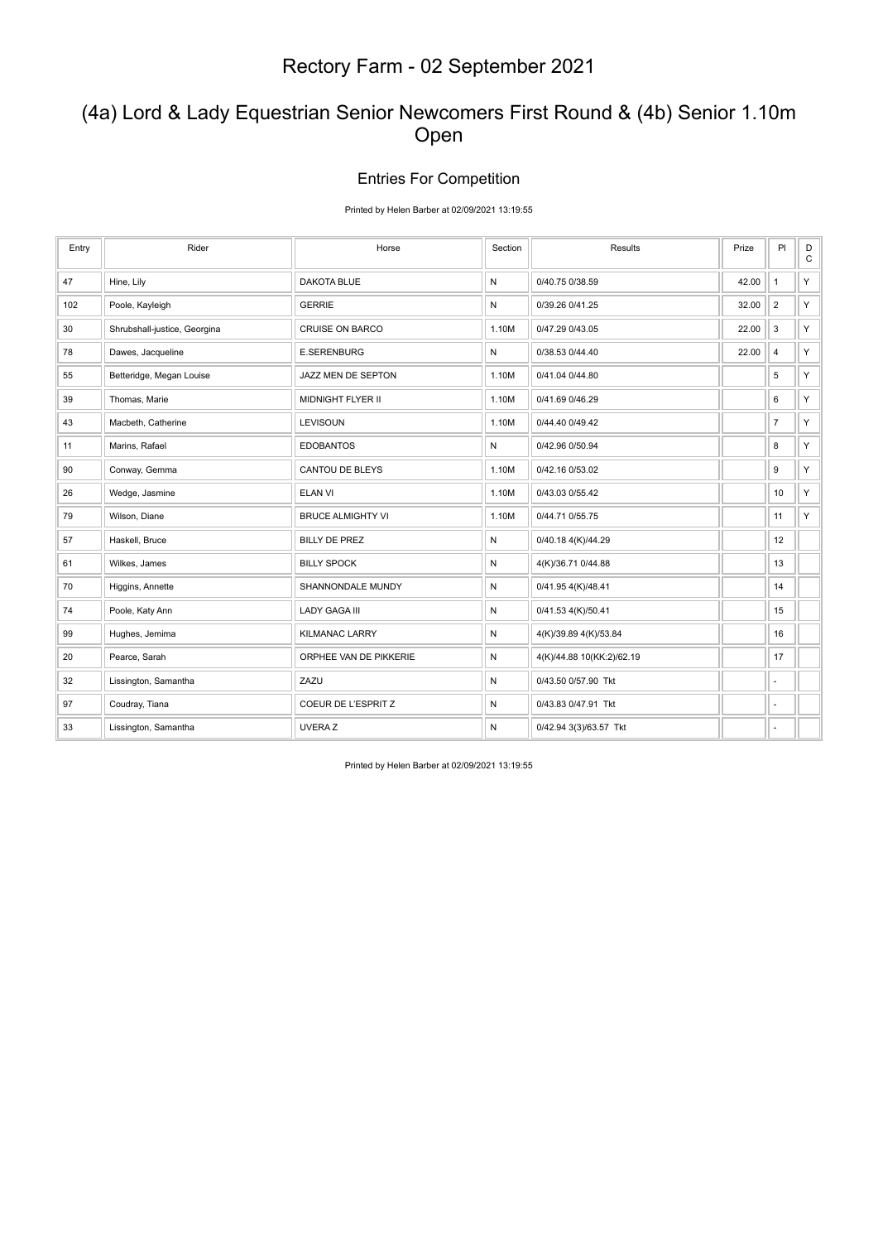### (4a) Lord & Lady Equestrian Senior Newcomers First Round & (4b) Senior 1.10m Open

#### Entries For Competition

#### Printed by Helen Barber at 02/09/2021 13:19:55

| Entry | Rider                        | Horse                    | Section | Results                   | Prize | P                        | $_\mathrm{C}^\mathrm{D}$ |
|-------|------------------------------|--------------------------|---------|---------------------------|-------|--------------------------|--------------------------|
| 47    | Hine, Lily                   | <b>DAKOTA BLUE</b>       | N       | 0/40.75 0/38.59           | 42.00 | $\overline{1}$           | Y.                       |
| 102   | Poole, Kayleigh              | <b>GERRIE</b>            | Ν       | 0/39.26 0/41.25           | 32.00 | $\overline{2}$           | Y.                       |
| 30    | Shrubshall-justice, Georgina | <b>CRUISE ON BARCO</b>   | 1.10M   | 0/47.29 0/43.05           | 22.00 | 3                        | Y.                       |
| 78    | Dawes, Jacqueline            | <b>E.SERENBURG</b>       | N       | 0/38.53 0/44.40           | 22.00 | $\overline{4}$           | Y.                       |
| 55    | Betteridge, Megan Louise     | JAZZ MEN DE SEPTON       | 1.10M   | 0/41.04 0/44.80           |       | 5                        | Y.                       |
| 39    | Thomas, Marie                | MIDNIGHT FLYER II        | 1.10M   | 0/41.69 0/46.29           |       | 6                        | Y.                       |
| 43    | Macbeth, Catherine           | LEVISOUN                 | 1.10M   | 0/44.40 0/49.42           |       | $\overline{7}$           | Y.                       |
| 11    | Marins, Rafael               | <b>EDOBANTOS</b>         | N       | 0/42.96 0/50.94           |       | 8                        | Y.                       |
| 90    | Conway, Gemma                | CANTOU DE BLEYS          | 1.10M   | 0/42.16 0/53.02           |       | 9                        | Y.                       |
| 26    | Wedge, Jasmine               | <b>ELAN VI</b>           | 1.10M   | 0/43.03 0/55.42           |       | 10                       | Y                        |
| 79    | Wilson, Diane                | <b>BRUCE ALMIGHTY VI</b> | 1.10M   | 0/44.71 0/55.75           |       | 11                       | Y.                       |
| 57    | Haskell, Bruce               | <b>BILLY DE PREZ</b>     | Ν       | 0/40.18 4(K)/44.29        |       | 12                       |                          |
| 61    | Wilkes, James                | <b>BILLY SPOCK</b>       | N       | 4(K)/36.71 0/44.88        |       | 13                       |                          |
| 70    | Higgins, Annette             | SHANNONDALE MUNDY        | N       | 0/41.95 4(K)/48.41        |       | 14                       |                          |
| 74    | Poole, Katy Ann              | <b>LADY GAGA III</b>     | N       | 0/41.53 4(K)/50.41        |       | 15                       |                          |
| 99    | Hughes, Jemima               | <b>KILMANAC LARRY</b>    | N       | 4(K)/39.89 4(K)/53.84     |       | 16                       |                          |
| 20    | Pearce, Sarah                | ORPHEE VAN DE PIKKERIE   | N       | 4(K)/44.88 10(KK:2)/62.19 |       | 17                       |                          |
| 32    | Lissington, Samantha         | ZAZU                     | N       | 0/43.50 0/57.90 Tkt       |       | ÷,                       |                          |
| 97    | Coudray, Tiana               | COEUR DE L'ESPRIT Z      | Ν       | 0/43.83 0/47.91 Tkt       |       | $\overline{\phantom{a}}$ |                          |
| 33    | Lissington, Samantha         | <b>UVERAZ</b>            | Ν       | 0/42.94 3(3)/63.57 Tkt    |       |                          |                          |

Printed by Helen Barber at 02/09/2021 13:19:55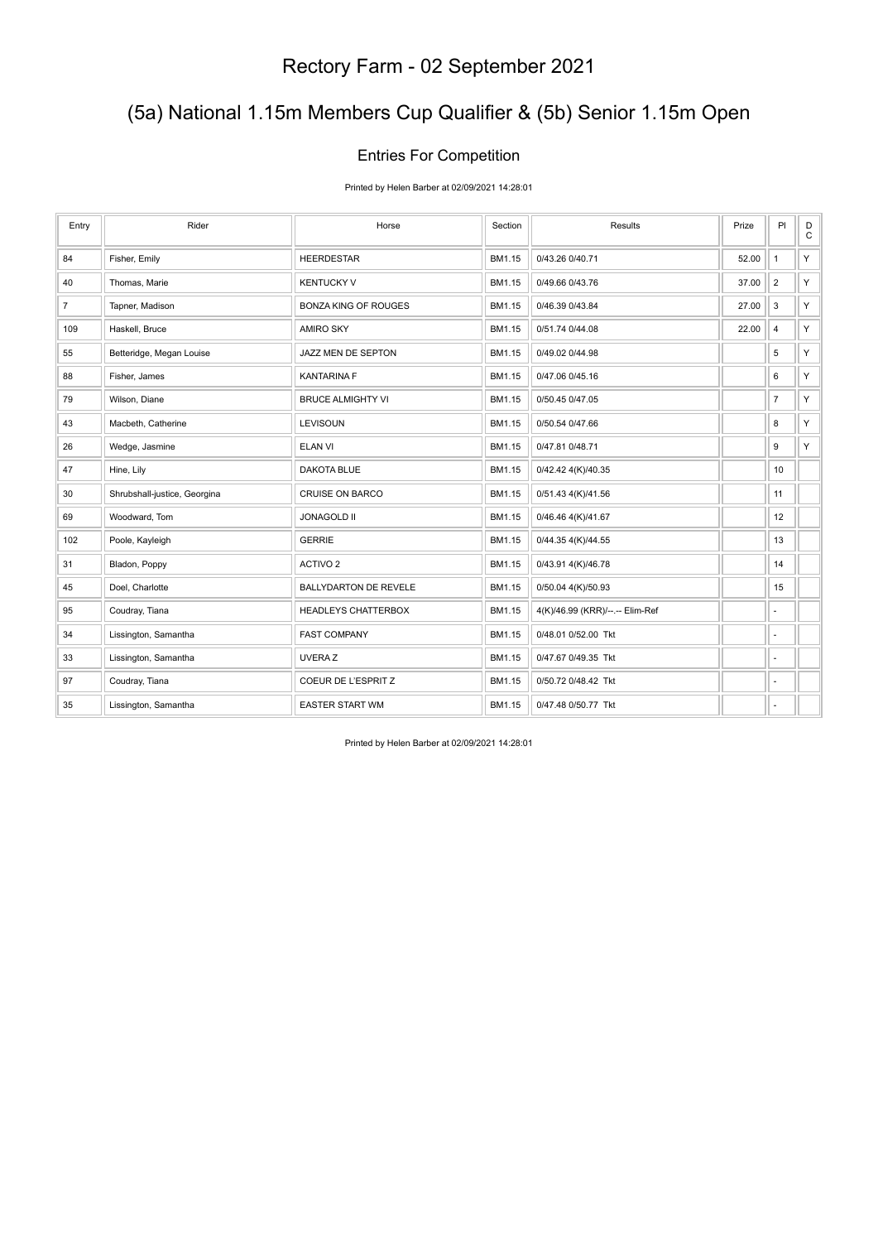# (5a) National 1.15m Members Cup Qualifier & (5b) Senior 1.15m Open

### Entries For Competition

Printed by Helen Barber at 02/09/2021 14:28:01

| Entry          | Rider                        | Horse                        | Section | Results                         | Prize | PI                       | $_{\rm C}^{\rm D}$ |
|----------------|------------------------------|------------------------------|---------|---------------------------------|-------|--------------------------|--------------------|
| 84             | Fisher, Emily                | <b>HEERDESTAR</b>            | BM1.15  | 0/43.26 0/40.71                 | 52.00 | $\mathbf{1}$             | Y.                 |
| 40             | Thomas, Marie                | <b>KENTUCKY V</b>            | BM1.15  | 0/49.66 0/43.76                 | 37.00 | $\overline{2}$           | Y.                 |
| $\overline{7}$ | Tapner, Madison              | <b>BONZA KING OF ROUGES</b>  | BM1.15  | 0/46.39 0/43.84                 | 27.00 | 3                        | Y.                 |
| 109            | Haskell, Bruce               | AMIRO SKY                    | BM1.15  | 0/51.74 0/44.08                 | 22.00 | $\overline{4}$           | Y.                 |
| 55             | Betteridge, Megan Louise     | JAZZ MEN DE SEPTON           | BM1.15  | 0/49.02 0/44.98                 |       | 5                        | Y.                 |
| 88             | Fisher, James                | <b>KANTARINA F</b>           | BM1.15  | 0/47.06 0/45.16                 |       | 6                        | Y.                 |
| 79             | Wilson, Diane                | <b>BRUCE ALMIGHTY VI</b>     | BM1.15  | 0/50.45 0/47.05                 |       | $\overline{7}$           | Y.                 |
| 43             | Macbeth, Catherine           | LEVISOUN                     | BM1.15  | 0/50.54 0/47.66                 |       | 8                        | Y.                 |
| 26             | Wedge, Jasmine               | <b>ELAN VI</b>               | BM1.15  | 0/47.81 0/48.71                 |       | 9                        | Y.                 |
| 47             | Hine, Lily                   | <b>DAKOTA BLUE</b>           | BM1.15  | 0/42.42 4(K)/40.35              |       | 10                       |                    |
| $30\,$         | Shrubshall-justice, Georgina | <b>CRUISE ON BARCO</b>       | BM1.15  | 0/51.43 4(K)/41.56              |       | 11                       |                    |
| 69             | Woodward, Tom                | <b>JONAGOLD II</b>           | BM1.15  | 0/46.46 4(K)/41.67              |       | 12                       |                    |
| 102            | Poole, Kayleigh              | <b>GERRIE</b>                | BM1.15  | 0/44.35 4(K)/44.55              |       | 13                       |                    |
| 31             | Bladon, Poppy                | ACTIVO <sub>2</sub>          | BM1.15  | 0/43.91 4(K)/46.78              |       | 14                       |                    |
| 45             | Doel, Charlotte              | <b>BALLYDARTON DE REVELE</b> | BM1.15  | 0/50.04 4(K)/50.93              |       | 15                       |                    |
| 95             | Coudray, Tiana               | <b>HEADLEYS CHATTERBOX</b>   | BM1.15  | 4(K)/46.99 (KRR)/--.-- Elim-Ref |       | ٠                        |                    |
| 34             | Lissington, Samantha         | <b>FAST COMPANY</b>          | BM1.15  | 0/48.01 0/52.00 Tkt             |       | $\overline{\phantom{a}}$ |                    |
| 33             | Lissington, Samantha         | UVERA Z                      | BM1.15  | 0/47.67 0/49.35 Tkt             |       | ÷,                       |                    |
| 97             | Coudray, Tiana               | COEUR DE L'ESPRIT Z          | BM1.15  | 0/50.72 0/48.42 Tkt             |       | $\overline{\phantom{a}}$ |                    |
| 35             | Lissington, Samantha         | <b>EASTER START WM</b>       | BM1.15  | 0/47.48 0/50.77 Tkt             |       | ٠                        |                    |

Printed by Helen Barber at 02/09/2021 14:28:01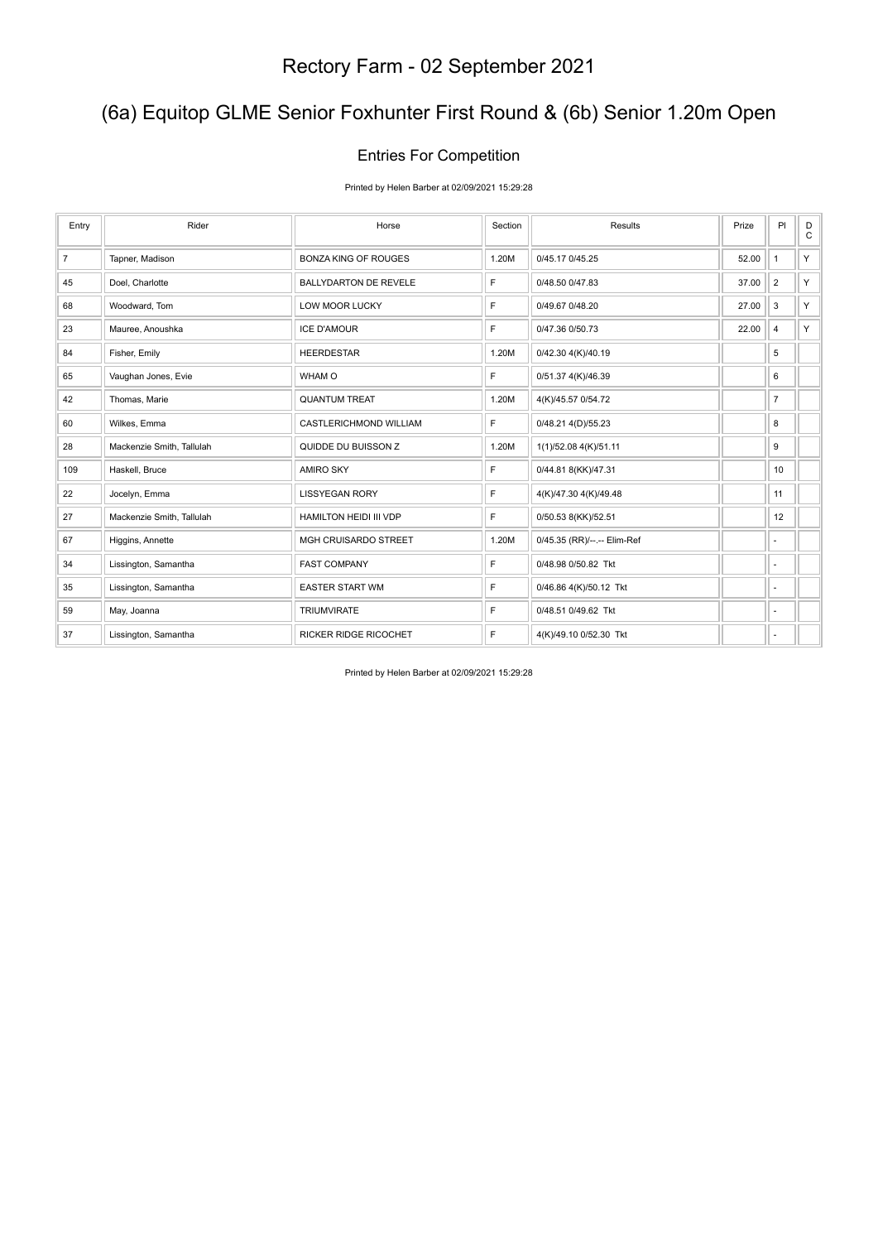## (6a) Equitop GLME Senior Foxhunter First Round & (6b) Senior 1.20m Open

### Entries For Competition

Printed by Helen Barber at 02/09/2021 15:29:28

| Entry          | Rider                     | Horse                        | Section | Results                     | Prize | PI             | D<br>$\mathtt{C}$ |
|----------------|---------------------------|------------------------------|---------|-----------------------------|-------|----------------|-------------------|
| $\overline{7}$ | Tapner, Madison           | <b>BONZA KING OF ROUGES</b>  | 1.20M   | 0/45.17 0/45.25             | 52.00 | $\mathbf{1}$   | Y.                |
| 45             | Doel, Charlotte           | <b>BALLYDARTON DE REVELE</b> | F       | 0/48.50 0/47.83             | 37.00 | $\overline{2}$ | Y.                |
| 68             | Woodward, Tom             | <b>LOW MOOR LUCKY</b>        | F.      | 0/49.67 0/48.20             | 27.00 | 3              | Y.                |
| 23             | Mauree, Anoushka          | <b>ICE D'AMOUR</b>           | F       | 0/47.36 0/50.73             | 22.00 | 4              | Y.                |
| 84             | Fisher, Emily             | <b>HEERDESTAR</b>            | 1.20M   | 0/42.30 4(K)/40.19          |       | 5              |                   |
| 65             | Vaughan Jones, Evie       | WHAM O                       | F       | 0/51.37 4(K)/46.39          |       | 6              |                   |
| 42             | Thomas, Marie             | <b>QUANTUM TREAT</b>         | 1.20M   | 4(K)/45.57 0/54.72          |       | $\overline{7}$ |                   |
| 60             | Wilkes, Emma              | CASTLERICHMOND WILLIAM       | F       | 0/48.21 4(D)/55.23          |       | 8              |                   |
| 28             | Mackenzie Smith, Tallulah | QUIDDE DU BUISSON Z          | 1.20M   | 1(1)/52.08 4(K)/51.11       |       | 9              |                   |
| 109            | Haskell, Bruce            | <b>AMIRO SKY</b>             | F       | 0/44.81 8(KK)/47.31         |       | 10             |                   |
| 22             | Jocelyn, Emma             | <b>LISSYEGAN RORY</b>        | F       | 4(K)/47.30 4(K)/49.48       |       | 11             |                   |
| 27             | Mackenzie Smith, Tallulah | HAMILTON HEIDI III VDP       | F.      | 0/50.53 8(KK)/52.51         |       | 12             |                   |
| 67             | Higgins, Annette          | MGH CRUISARDO STREET         | 1.20M   | 0/45.35 (RR)/--.-- Elim-Ref |       | ×.             |                   |
| 34             | Lissington, Samantha      | <b>FAST COMPANY</b>          | F       | 0/48.98 0/50.82 Tkt         |       | ٠              |                   |
| 35             | Lissington, Samantha      | <b>EASTER START WM</b>       | E       | 0/46.86 4(K)/50.12 Tkt      |       | $\sim$         |                   |
| 59             | May, Joanna               | <b>TRIUMVIRATE</b>           | F       | 0/48.51 0/49.62 Tkt         |       | ٠              |                   |
| 37             | Lissington, Samantha      | RICKER RIDGE RICOCHET        | F       | 4(K)/49.10 0/52.30 Tkt      |       | ٠              |                   |

Printed by Helen Barber at 02/09/2021 15:29:28